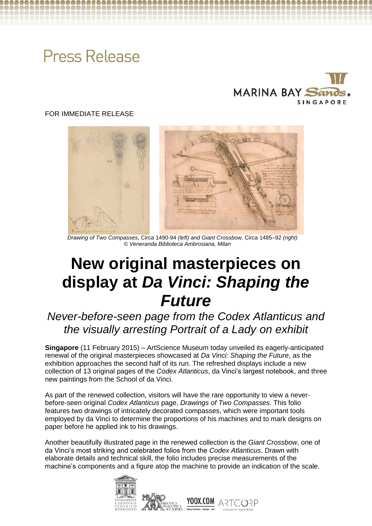# **Press Release**



# FOR IMMEDIATE RELEASE



 *Drawing of Two Compasses,* Circa 1490-94 *(left) and Giant Crossbow,* Circa 1485–92 *(right) © Veneranda Biblioteca Ambrosiana, Milan*

# **New original masterpieces on display at** *Da Vinci: Shaping the Future*

# *Never-before-seen page from the Codex Atlanticus and the visually arresting Portrait of a Lady on exhibit*

**Singapore** (11 February 2015) – ArtScience Museum today unveiled its eagerly-anticipated renewal of the original masterpieces showcased at *Da Vinci: Shaping the Future*, as the exhibition approaches the second half of its run. The refreshed displays include a new collection of 13 original pages of the *Codex Atlanticus*, da Vinci's largest notebook, and three new paintings from the School of da Vinci.

As part of the renewed collection, visitors will have the rare opportunity to view a neverbefore-seen original *Codex Atlanticus* page, *Drawings of Two Compasses.* This folio features two drawings of intricately decorated compasses, which were important tools employed by da Vinci to determine the proportions of his machines and to mark designs on paper before he applied ink to his drawings.

Another beautifully illustrated page in the renewed collection is the *Giant Crossbow*, one of da Vinci's most striking and celebrated folios from the *Codex Atlanticus*. Drawn with elaborate details and technical skill, the folio includes precise measurements of the machine's components and a figure atop the machine to provide an indication of the scale.

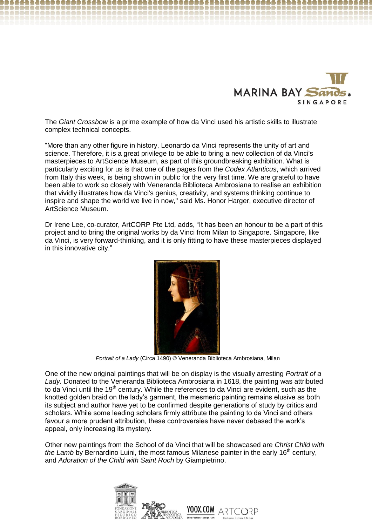

The *Giant Crossbow* is a prime example of how da Vinci used his artistic skills to illustrate complex technical concepts.

"More than any other figure in history, Leonardo da Vinci represents the unity of art and science. Therefore, it is a great privilege to be able to bring a new collection of da Vinci's masterpieces to ArtScience Museum, as part of this groundbreaking exhibition. What is particularly exciting for us is that one of the pages from the *Codex Atlanticus*, which arrived from Italy this week, is being shown in public for the very first time. We are grateful to have been able to work so closely with Veneranda Biblioteca Ambrosiana to realise an exhibition that vividly illustrates how da Vinci's genius, creativity, and systems thinking continue to inspire and shape the world we live in now," said Ms. Honor Harger, executive director of ArtScience Museum.

Dr Irene Lee, co-curator, ArtCORP Pte Ltd, adds, "It has been an honour to be a part of this project and to bring the original works by da Vinci from Milan to Singapore. Singapore, like da Vinci, is very forward-thinking, and it is only fitting to have these masterpieces displayed in this innovative city."



*Portrait of a Lady* (Circa 1490) © Veneranda Biblioteca Ambrosiana, Milan

One of the new original paintings that will be on display is the visually arresting *Portrait of a Lady.* Donated to the Veneranda Biblioteca Ambrosiana in 1618, the painting was attributed to da Vinci until the 19<sup>th</sup> century. While the references to da Vinci are evident, such as the knotted golden braid on the lady's garment, the mesmeric painting remains elusive as both its subject and author have yet to be confirmed despite generations of study by critics and scholars. While some leading scholars firmly attribute the painting to da Vinci and others favour a more prudent attribution, these controversies have never debased the work's appeal, only increasing its mystery.

Other new paintings from the School of da Vinci that will be showcased are *Christ Child with the Lamb* by Bernardino Luini, the most famous Milanese painter in the early 16<sup>th</sup> century, and *Adoration of the Child with Saint Roch* by Giampietrino.

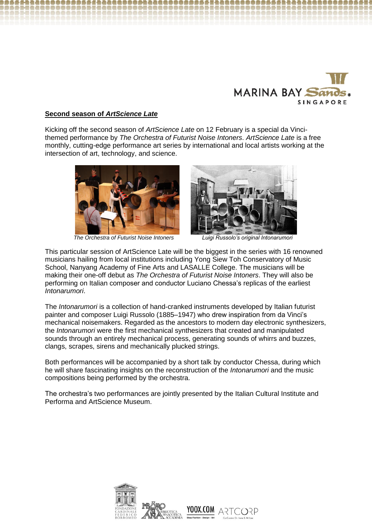

## **Second season of** *ArtScience Late*

Kicking off the second season of *ArtScience Late* on 12 February is a special da Vincithemed performance by *The Orchestra of Futurist Noise Intoners*. *ArtScience Late* is a free monthly, cutting-edge performance art series by international and local artists working at the intersection of art, technology, and science.



*The Orchestra of Futurist Noise Intoners Luigi Russolo's original Intonarumori*



This particular session of ArtScience Late will be the biggest in the series with 16 renowned musicians hailing from local institutions including Yong Siew Toh Conservatory of Music School, Nanyang Academy of Fine Arts and LASALLE College. The musicians will be making their one-off debut as *The Orchestra of Futurist Noise Intoners*. They will also be performing on Italian composer and conductor Luciano Chessa's replicas of the earliest *Intonarumori*.

I

The *Intonarumori* is a collection of hand-cranked instruments developed by Italian futurist painter and composer Luigi Russolo (1885–1947) who drew inspiration from da Vinci's mechanical noisemakers. Regarded as the ancestors to modern day electronic synthesizers, the *Intonarumori* were the first mechanical synthesizers that created and manipulated sounds through an entirely mechanical process, generating sounds of whirrs and buzzes, clangs, scrapes, sirens and mechanically plucked strings.

Both performances will be accompanied by a short talk by conductor Chessa, during which he will share fascinating insights on the reconstruction of the *Intonarumori* and the music compositions being performed by the orchestra.

The orchestra's two performances are jointly presented by the Italian Cultural Institute and Performa and ArtScience Museum.

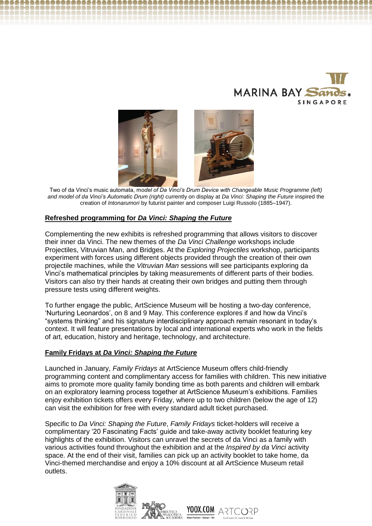



 Two of da Vinci's music automata, m*odel of Da Vinci's Drum Device with Changeable Music Programme (left) and model of da Vinci's Automatic Drum (right)* currently on display at *Da Vinci: Shaping the Future* inspired the creation of *Intonarumori* by futurist painter and composer Luigi Russolo (1885–1947).

### **Refreshed programming for** *Da Vinci: Shaping the Future*

Complementing the new exhibits is refreshed programming that allows visitors to discover their inner da Vinci. The new themes of the *Da Vinci Challenge* workshops include Projectiles, Vitruvian Man, and Bridges. At the *Exploring Projectiles* workshop, participants experiment with forces using different objects provided through the creation of their own projectile machines, while the *Vitruvian Man* sessions will see participants exploring da Vinci's mathematical principles by taking measurements of different parts of their bodies. Visitors can also try their hands at creating their own bridges and putting them through pressure tests using different weights.

To further engage the public, ArtScience Museum will be hosting a two-day conference, 'Nurturing Leonardos', on 8 and 9 May. This conference explores if and how da Vinci's "systems thinking" and his signature interdisciplinary approach remain resonant in today's context. It will feature presentations by local and international experts who work in the fields of art, education, history and heritage, technology, and architecture.

### **Family Fridays at** *Da Vinci: Shaping the Future*

Launched in January, *Family Fridays* at ArtScience Museum offers child-friendly programming content and complimentary access for families with children. This new initiative aims to promote more quality family bonding time as both parents and children will embark on an exploratory learning process together at ArtScience Museum's exhibitions. Families enjoy exhibition tickets offers every Friday, where up to two children (below the age of 12) can visit the exhibition for free with every standard adult ticket purchased.

Specific to *Da Vinci: Shaping the Future*, *Family Fridays* ticket-holders will receive a complimentary '20 Fascinating Facts' guide and take-away activity booklet featuring key highlights of the exhibition. Visitors can unravel the secrets of da Vinci as a family with various activities found throughout the exhibition and at the *Inspired by da Vinci* activity space. At the end of their visit, families can pick up an activity booklet to take home, da Vinci-themed merchandise and enjoy a 10% discount at all ArtScience Museum retail outlets.